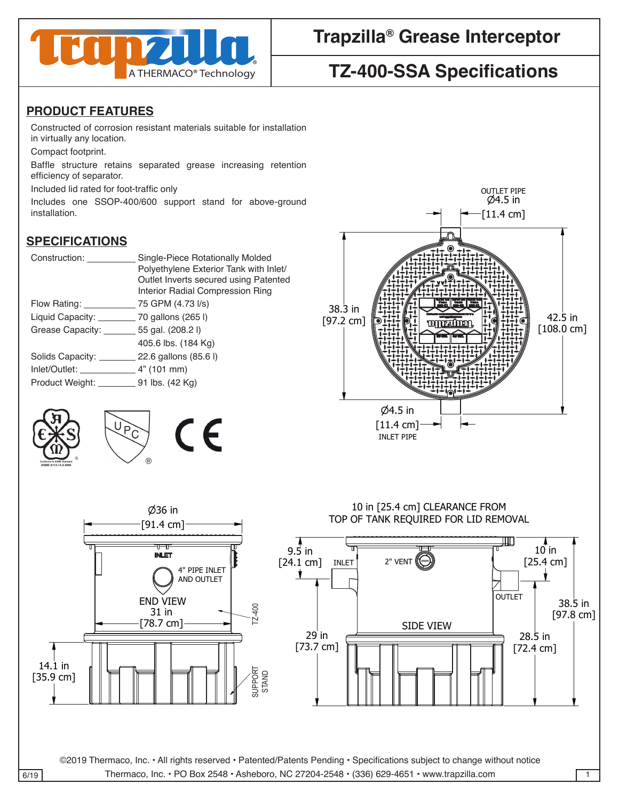

## **Trapzilla® Grease Interceptor**

# **TZ-400-SSA Specifications**

### **PRODUCT FEATURES**

Constructed of corrosion resistant materials suitable for installation in virtually any location.

Compact footprint.

Baffle structure retains separated grease increasing retention efficiency of separator.

Included lid rated for foot-traffic only

Includes one SSOP-400/600 support stand for above-ground installation.

### **SPECIFICATIONS**

| Construction:                                        | Single-Piece Rotationally Molded<br>Polyethylene Exterior Tank with Inlet/<br>Outlet Inverts secured using Patented<br>Interior Radial Compression Ring |
|------------------------------------------------------|---------------------------------------------------------------------------------------------------------------------------------------------------------|
| Flow Rating:                                         | 75 GPM (4.73 I/s)                                                                                                                                       |
| Liquid Capacity: ________________ 70 gallons (265 l) |                                                                                                                                                         |
| Grease Capacity: ________ 55 gal. (208.2 l)          |                                                                                                                                                         |
|                                                      | 405.6 lbs. (184 Kg)                                                                                                                                     |
| Solids Capacity: 22.6 gallons (85.6 l)               |                                                                                                                                                         |
|                                                      |                                                                                                                                                         |
| Product Weight: __________________ 91 lbs. (42 Kg)   |                                                                                                                                                         |
|                                                      |                                                                                                                                                         |

 $\emptyset$ 36 in





#### TOP OF TANK REQUIRED FOR LID REMOVAL 10 in [25.4 cm] CLEARANCE FROM 10 in [25.4 cm] CLEARANCE FROM

MATERIAL (UNLESS NOTED)



 $\frac{6719}{6719}$  Thermaco, Inc. • All rights reserved • Patented/Patents Pending • Specifications subject to change without hotice<br>6/19 Thermaco, Inc. • PO Box 2548 • Asheboro, NC 27204-2548 • (336) 629-4651 • www.trapzill Tolerances

 $\|24.1$ 

38.5 in

 $\mathbf{1}$